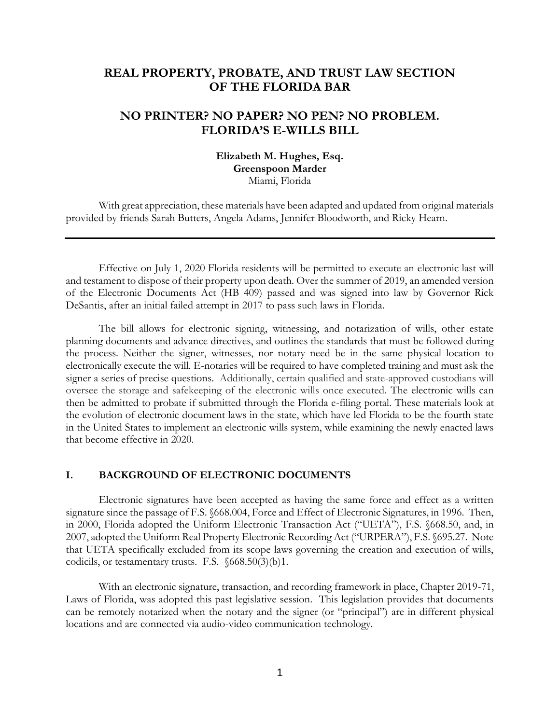# **REAL PROPERTY, PROBATE, AND TRUST LAW SECTION OF THE FLORIDA BAR**

# **NO PRINTER? NO PAPER? NO PEN? NO PROBLEM. FLORIDA'S E-WILLS BILL**

## **Elizabeth M. Hughes, Esq. Greenspoon Marder** Miami, Florida

With great appreciation, these materials have been adapted and updated from original materials provided by friends Sarah Butters, Angela Adams, Jennifer Bloodworth, and Ricky Hearn.

Effective on July 1, 2020 Florida residents will be permitted to execute an electronic last will and testament to dispose of their property upon death. Over the summer of 2019, an amended version of the Electronic Documents Act (HB 409) passed and was signed into law by Governor Rick DeSantis, after an initial failed attempt in 2017 to pass such laws in Florida.

The bill allows for electronic signing, witnessing, and notarization of wills, other estate planning documents and advance directives, and outlines the standards that must be followed during the process. Neither the signer, witnesses, nor notary need be in the same physical location to electronically execute the will. E-notaries will be required to have completed training and must ask the signer a series of precise questions. Additionally, certain qualified and state-approved custodians will oversee the storage and safekeeping of the electronic wills once executed. The electronic wills can then be admitted to probate if submitted through the Florida e-filing portal. These materials look at the evolution of electronic document laws in the state, which have led Florida to be the fourth state in the United States to implement an electronic wills system, while examining the newly enacted laws that become effective in 2020.

#### **I. BACKGROUND OF ELECTRONIC DOCUMENTS**

Electronic signatures have been accepted as having the same force and effect as a written signature since the passage of F.S. §668.004, Force and Effect of Electronic Signatures, in 1996. Then, in 2000, Florida adopted the Uniform Electronic Transaction Act ("UETA"), F.S. §668.50, and, in 2007, adopted the Uniform Real Property Electronic Recording Act ("URPERA"), F.S. §695.27. Note that UETA specifically excluded from its scope laws governing the creation and execution of wills, codicils, or testamentary trusts. F.S. §668.50(3)(b)1.

With an electronic signature, transaction, and recording framework in place, Chapter 2019-71, Laws of Florida, was adopted this past legislative session. This legislation provides that documents can be remotely notarized when the notary and the signer (or "principal") are in different physical locations and are connected via audio-video communication technology.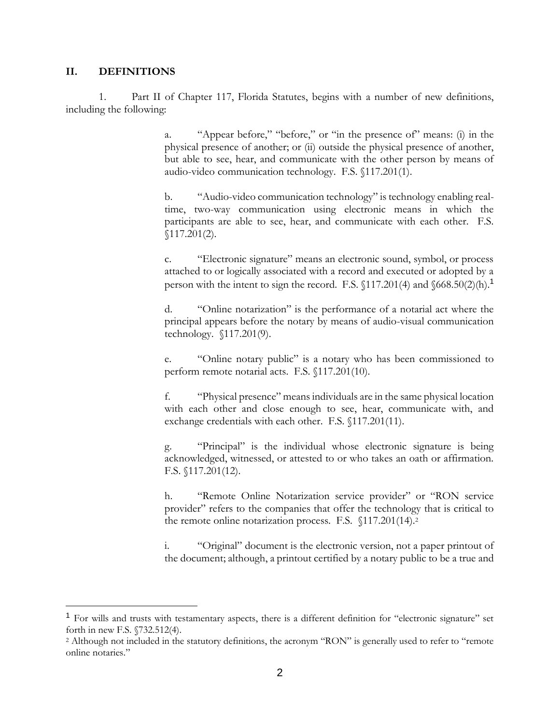#### **II. DEFINITIONS**

 $\overline{a}$ 

1. Part II of Chapter 117, Florida Statutes, begins with a number of new definitions, including the following:

> a. "Appear before," "before," or "in the presence of" means: (i) in the physical presence of another; or (ii) outside the physical presence of another, but able to see, hear, and communicate with the other person by means of audio-video communication technology. F.S. §117.201(1).

> b. "Audio-video communication technology" is technology enabling realtime, two-way communication using electronic means in which the participants are able to see, hear, and communicate with each other. F.S. §117.201(2).

> c. "Electronic signature" means an electronic sound, symbol, or process attached to or logically associated with a record and executed or adopted by a person with the intent to sign the record. F.S. §117.201(4) and §668.50(2)(h).<sup>1</sup>

> d. "Online notarization" is the performance of a notarial act where the principal appears before the notary by means of audio-visual communication technology. §117.201(9).

> e. "Online notary public" is a notary who has been commissioned to perform remote notarial acts. F.S. §117.201(10).

> f. "Physical presence" means individuals are in the same physical location with each other and close enough to see, hear, communicate with, and exchange credentials with each other. F.S. §117.201(11).

> g. "Principal" is the individual whose electronic signature is being acknowledged, witnessed, or attested to or who takes an oath or affirmation. F.S. §117.201(12).

> h. "Remote Online Notarization service provider" or "RON service provider" refers to the companies that offer the technology that is critical to the remote online notarization process. F.S. §117.201(14).<sup>2</sup>

> i. "Original" document is the electronic version, not a paper printout of the document; although, a printout certified by a notary public to be a true and

<sup>&</sup>lt;sup>1</sup> For wills and trusts with testamentary aspects, there is a different definition for "electronic signature" set forth in new F.S. §732.512(4).

<sup>&</sup>lt;sup>2</sup> Although not included in the statutory definitions, the acronym "RON" is generally used to refer to "remote online notaries."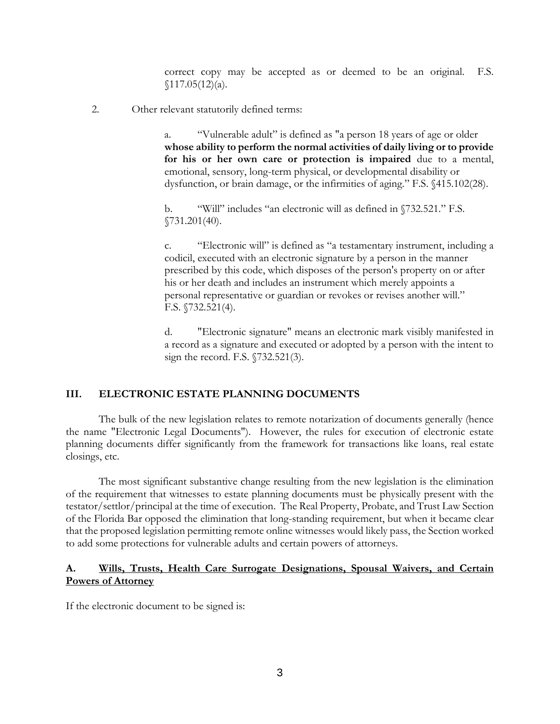correct copy may be accepted as or deemed to be an original. F.S.  $$117.05(12)(a).$ 

2. Other relevant statutorily defined terms:

a. "Vulnerable adult" is defined as "a person 18 years of age or older **whose ability to perform the normal activities of daily living or to provide for his or her own care or protection is impaired** due to a mental, emotional, sensory, long-term physical, or developmental disability or dysfunction, or brain damage, or the infirmities of aging." F.S. §415.102(28).

b. "Will" includes "an electronic will as defined in §732.521." F.S. §731.201(40).

c. "Electronic will" is defined as "a testamentary instrument, including a codicil, executed with an electronic signature by a person in the manner prescribed by this code, which disposes of the person's property on or after his or her death and includes an instrument which merely appoints a personal representative or guardian or revokes or revises another will." F.S. §732.521(4).

d. "Electronic signature" means an electronic mark visibly manifested in a record as a signature and executed or adopted by a person with the intent to sign the record. F.S. §732.521(3).

### **III. ELECTRONIC ESTATE PLANNING DOCUMENTS**

The bulk of the new legislation relates to remote notarization of documents generally (hence the name "Electronic Legal Documents"). However, the rules for execution of electronic estate planning documents differ significantly from the framework for transactions like loans, real estate closings, etc.

The most significant substantive change resulting from the new legislation is the elimination of the requirement that witnesses to estate planning documents must be physically present with the testator/settlor/principal at the time of execution. The Real Property, Probate, and Trust Law Section of the Florida Bar opposed the elimination that long-standing requirement, but when it became clear that the proposed legislation permitting remote online witnesses would likely pass, the Section worked to add some protections for vulnerable adults and certain powers of attorneys.

## **A. Wills, Trusts, Health Care Surrogate Designations, Spousal Waivers, and Certain Powers of Attorney**

If the electronic document to be signed is: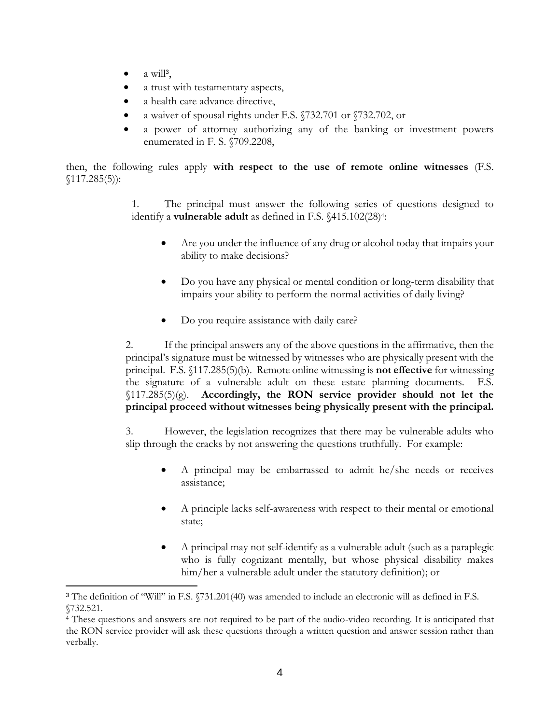$\bullet$  a will<sup>3</sup>,

 $\overline{a}$ 

- a trust with testamentary aspects,
- a health care advance directive,
- a waiver of spousal rights under F.S. §732.701 or §732.702, or
- a power of attorney authorizing any of the banking or investment powers enumerated in F. S. §709.2208,

then, the following rules apply **with respect to the use of remote online witnesses** (F.S.  $$117.285(5)$ :

> 1. The principal must answer the following series of questions designed to identify a **vulnerable adult** as defined in F.S. §415.102(28)<sup>4</sup>:

- Are you under the influence of any drug or alcohol today that impairs your ability to make decisions?
- Do you have any physical or mental condition or long-term disability that impairs your ability to perform the normal activities of daily living?
- Do you require assistance with daily care?

2. If the principal answers any of the above questions in the affirmative, then the principal's signature must be witnessed by witnesses who are physically present with the principal. F.S. §117.285(5)(b). Remote online witnessing is **not effective** for witnessing the signature of a vulnerable adult on these estate planning documents. F.S. §117.285(5)(g). **Accordingly, the RON service provider should not let the principal proceed without witnesses being physically present with the principal.**

3. However, the legislation recognizes that there may be vulnerable adults who slip through the cracks by not answering the questions truthfully. For example:

- A principal may be embarrassed to admit he/she needs or receives assistance;
- A principle lacks self-awareness with respect to their mental or emotional state;
- A principal may not self-identify as a vulnerable adult (such as a paraplegic who is fully cognizant mentally, but whose physical disability makes him/her a vulnerable adult under the statutory definition); or

<sup>3</sup> The definition of "Will" in F.S. §731.201(40) was amended to include an electronic will as defined in F.S. §732.521.

<sup>4</sup> These questions and answers are not required to be part of the audio-video recording. It is anticipated that the RON service provider will ask these questions through a written question and answer session rather than verbally.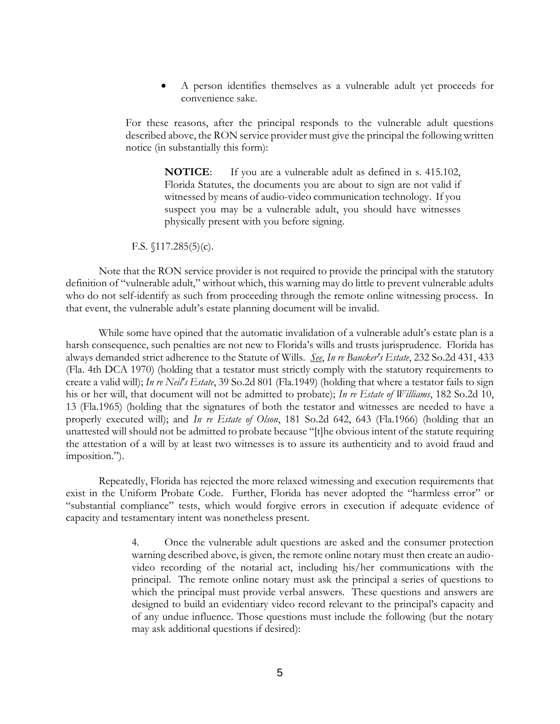A person identifies themselves as a vulnerable adult yet proceeds for convenience sake.

For these reasons, after the principal responds to the vulnerable adult questions described above, the RON service provider must give the principal the following written notice (in substantially this form):

> **NOTICE**: If you are a vulnerable adult as defined in s. 415.102, Florida Statutes, the documents you are about to sign are not valid if witnessed by means of audio-video communication technology. If you suspect you may be a vulnerable adult, you should have witnesses physically present with you before signing.

F.S. §117.285(5)(c).

Note that the RON service provider is not required to provide the principal with the statutory definition of "vulnerable adult," without which, this warning may do little to prevent vulnerable adults who do not self-identify as such from proceeding through the remote online witnessing process. In that event, the vulnerable adult's estate planning document will be invalid.

While some have opined that the automatic invalidation of a vulnerable adult's estate plan is a harsh consequence, such penalties are not new to Florida's wills and trusts jurisprudence. Florida has always demanded strict adherence to the Statute of Wills. *See*, *In re Bancker's Estate*, 232 So.2d 431, 433 (Fla. 4th DCA 1970) (holding that a testator must strictly comply with the statutory requirements to create a valid will); *In re Neil's Estate*, 39 So.2d 801 (Fla.1949) (holding that where a testator fails to sign his or her will, that document will not be admitted to probate); *In re Estate of Williams*, 182 So.2d 10, 13 (Fla.1965) (holding that the signatures of both the testator and witnesses are needed to have a properly executed will); and *In re Estate of Olson*, 181 So.2d 642, 643 (Fla.1966) (holding that an unattested will should not be admitted to probate because "[t]he obvious intent of the statute requiring the attestation of a will by at least two witnesses is to assure its authenticity and to avoid fraud and imposition.").

Repeatedly, Florida has rejected the more relaxed witnessing and execution requirements that exist in the Uniform Probate Code. Further, Florida has never adopted the "harmless error" or "substantial compliance" tests, which would forgive errors in execution if adequate evidence of capacity and testamentary intent was nonetheless present.

> 4. Once the vulnerable adult questions are asked and the consumer protection warning described above, is given, the remote online notary must then create an audiovideo recording of the notarial act, including his/her communications with the principal. The remote online notary must ask the principal a series of questions to which the principal must provide verbal answers. These questions and answers are designed to build an evidentiary video record relevant to the principal's capacity and of any undue influence. Those questions must include the following (but the notary may ask additional questions if desired):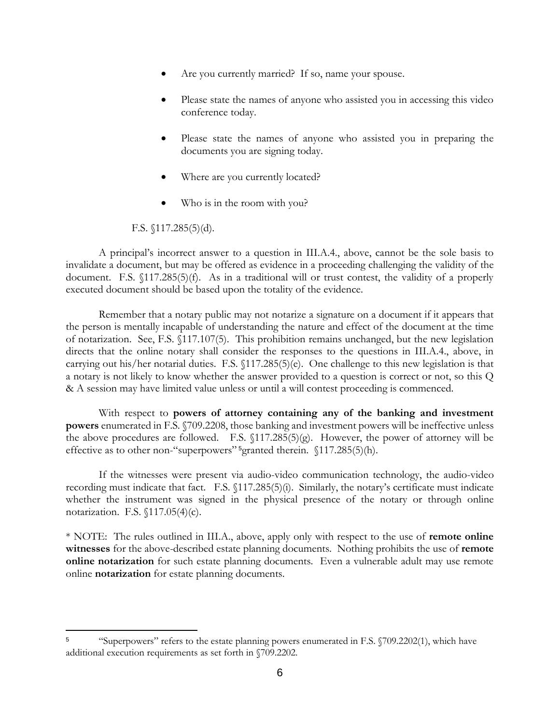- Are you currently married? If so, name your spouse.
- Please state the names of anyone who assisted you in accessing this video conference today.
- Please state the names of anyone who assisted you in preparing the documents you are signing today.
- Where are you currently located?
- Who is in the room with you?

### F.S. §117.285(5)(d).

 $\overline{a}$ 

A principal's incorrect answer to a question in III.A.4., above, cannot be the sole basis to invalidate a document, but may be offered as evidence in a proceeding challenging the validity of the document. F.S. §117.285(5)(f). As in a traditional will or trust contest, the validity of a properly executed document should be based upon the totality of the evidence.

Remember that a notary public may not notarize a signature on a document if it appears that the person is mentally incapable of understanding the nature and effect of the document at the time of notarization. See, F.S. §117.107(5). This prohibition remains unchanged, but the new legislation directs that the online notary shall consider the responses to the questions in III.A.4., above, in carrying out his/her notarial duties. F.S. §117.285(5)(e). One challenge to this new legislation is that a notary is not likely to know whether the answer provided to a question is correct or not, so this Q & A session may have limited value unless or until a will contest proceeding is commenced.

With respect to **powers of attorney containing any of the banking and investment powers** enumerated in F.S. §709.2208, those banking and investment powers will be ineffective unless the above procedures are followed. F.S. §117.285(5)(g). However, the power of attorney will be effective as to other non-"superpowers" <sup>5</sup>granted therein. §117.285(5)(h).

If the witnesses were present via audio-video communication technology, the audio-video recording must indicate that fact. F.S. §117.285(5)(i). Similarly, the notary's certificate must indicate whether the instrument was signed in the physical presence of the notary or through online notarization. F.S. §117.05(4)(c).

\* NOTE: The rules outlined in III.A., above, apply only with respect to the use of **remote online witnesses** for the above-described estate planning documents. Nothing prohibits the use of **remote online notarization** for such estate planning documents. Even a vulnerable adult may use remote online **notarization** for estate planning documents.

<sup>&</sup>lt;sup>5</sup> "Superpowers" refers to the estate planning powers enumerated in F.S. §709.2202(1), which have additional execution requirements as set forth in §709.2202.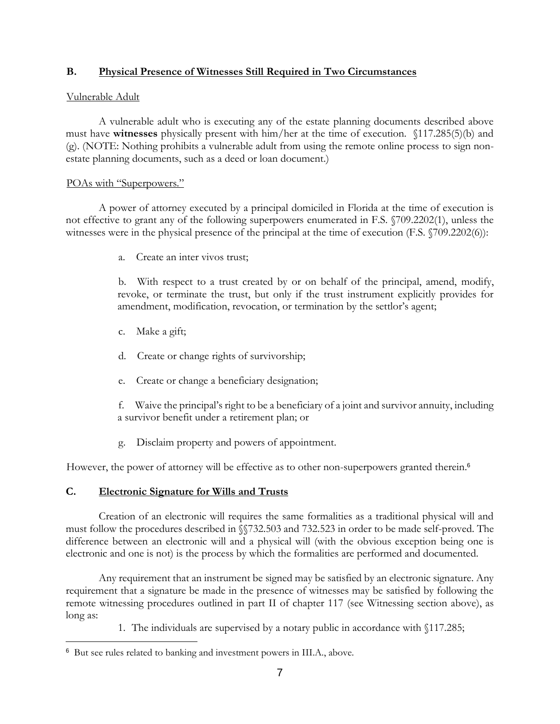# **B. Physical Presence of Witnesses Still Required in Two Circumstances**

## Vulnerable Adult

A vulnerable adult who is executing any of the estate planning documents described above must have **witnesses** physically present with him/her at the time of execution. §117.285(5)(b) and (g). (NOTE: Nothing prohibits a vulnerable adult from using the remote online process to sign nonestate planning documents, such as a deed or loan document.)

## POAs with "Superpowers."

A power of attorney executed by a principal domiciled in Florida at the time of execution is not effective to grant any of the following superpowers enumerated in F.S. §709.2202(1), unless the witnesses were in the physical presence of the principal at the time of execution (F.S. §709.2202(6)):

a. Create an inter vivos trust;

b. With respect to a trust created by or on behalf of the principal, amend, modify, revoke, or terminate the trust, but only if the trust instrument explicitly provides for amendment, modification, revocation, or termination by the settlor's agent;

- c. Make a gift;
- d. Create or change rights of survivorship;
- e. Create or change a beneficiary designation;

f. Waive the principal's right to be a beneficiary of a joint and survivor annuity, including a survivor benefit under a retirement plan; or

g. Disclaim property and powers of appointment.

However, the power of attorney will be effective as to other non-superpowers granted therein.<sup>6</sup>

# **C. Electronic Signature for Wills and Trusts**

 $\overline{a}$ 

Creation of an electronic will requires the same formalities as a traditional physical will and must follow the procedures described in §§732.503 and 732.523 in order to be made self-proved. The difference between an electronic will and a physical will (with the obvious exception being one is electronic and one is not) is the process by which the formalities are performed and documented.

Any requirement that an instrument be signed may be satisfied by an electronic signature. Any requirement that a signature be made in the presence of witnesses may be satisfied by following the remote witnessing procedures outlined in part II of chapter 117 (see Witnessing section above), as long as:

1. The individuals are supervised by a notary public in accordance with §117.285;

<sup>6</sup> But see rules related to banking and investment powers in III.A., above.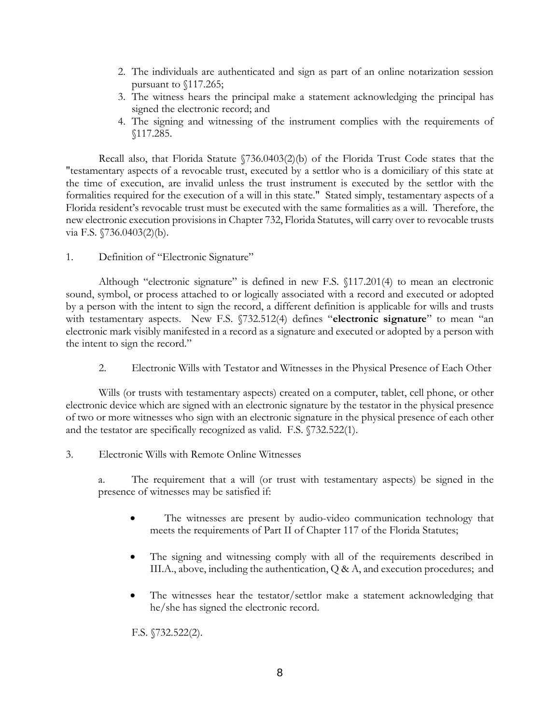- 2. The individuals are authenticated and sign as part of an online notarization session pursuant to §117.265;
- 3. The witness hears the principal make a statement acknowledging the principal has signed the electronic record; and
- 4. The signing and witnessing of the instrument complies with the requirements of §117.285.

Recall also, that Florida Statute §736.0403(2)(b) of the Florida Trust Code states that the "testamentary aspects of a revocable trust, executed by a settlor who is a domiciliary of this state at the time of execution, are invalid unless the trust instrument is executed by the settlor with the formalities required for the execution of a will in this state." Stated simply, testamentary aspects of a Florida resident's revocable trust must be executed with the same formalities as a will. Therefore, the new electronic execution provisions in Chapter 732, Florida Statutes, will carry over to revocable trusts via F.S. §736.0403(2)(b).

# 1. Definition of "Electronic Signature"

Although "electronic signature" is defined in new F.S. §117.201(4) to mean an electronic sound, symbol, or process attached to or logically associated with a record and executed or adopted by a person with the intent to sign the record, a different definition is applicable for wills and trusts with testamentary aspects. New F.S. §732.512(4) defines "**electronic signature**" to mean "an electronic mark visibly manifested in a record as a signature and executed or adopted by a person with the intent to sign the record."

2. Electronic Wills with Testator and Witnesses in the Physical Presence of Each Other

Wills (or trusts with testamentary aspects) created on a computer, tablet, cell phone, or other electronic device which are signed with an electronic signature by the testator in the physical presence of two or more witnesses who sign with an electronic signature in the physical presence of each other and the testator are specifically recognized as valid. F.S. §732.522(1).

# 3. Electronic Wills with Remote Online Witnesses

a. The requirement that a will (or trust with testamentary aspects) be signed in the presence of witnesses may be satisfied if:

- The witnesses are present by audio-video communication technology that meets the requirements of Part II of Chapter 117 of the Florida Statutes;
- The signing and witnessing comply with all of the requirements described in III.A., above, including the authentication, Q & A, and execution procedures; and
- The witnesses hear the testator/settlor make a statement acknowledging that he/she has signed the electronic record.

F.S. §732.522(2).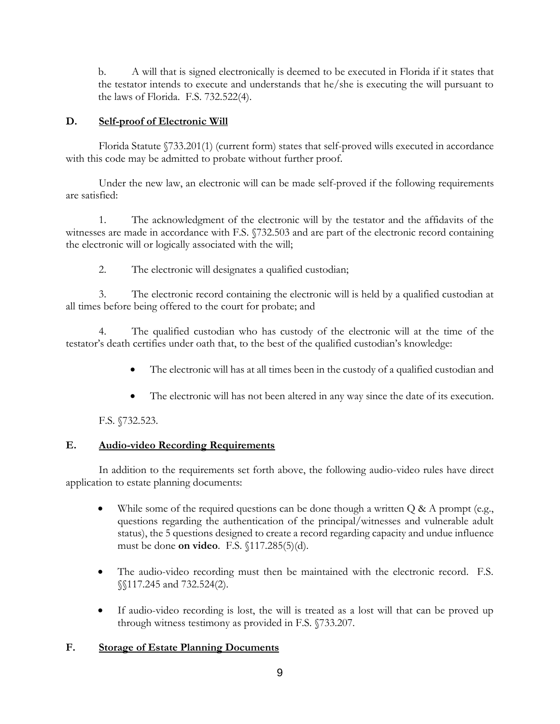b. A will that is signed electronically is deemed to be executed in Florida if it states that the testator intends to execute and understands that he/she is executing the will pursuant to the laws of Florida. F.S. 732.522(4).

# **D. Self-proof of Electronic Will**

Florida Statute §733.201(1) (current form) states that self-proved wills executed in accordance with this code may be admitted to probate without further proof.

Under the new law, an electronic will can be made self-proved if the following requirements are satisfied:

1. The acknowledgment of the electronic will by the testator and the affidavits of the witnesses are made in accordance with F.S. §732.503 and are part of the electronic record containing the electronic will or logically associated with the will;

2. The electronic will designates a qualified custodian;

3. The electronic record containing the electronic will is held by a qualified custodian at all times before being offered to the court for probate; and

4. The qualified custodian who has custody of the electronic will at the time of the testator's death certifies under oath that, to the best of the qualified custodian's knowledge:

- The electronic will has at all times been in the custody of a qualified custodian and
- The electronic will has not been altered in any way since the date of its execution.

F.S. §732.523.

# **E. Audio-video Recording Requirements**

In addition to the requirements set forth above, the following audio-video rules have direct application to estate planning documents:

- While some of the required questions can be done though a written  $Q \& A$  prompt (e.g., questions regarding the authentication of the principal/witnesses and vulnerable adult status), the 5 questions designed to create a record regarding capacity and undue influence must be done **on video**. F.S. §117.285(5)(d).
- The audio-video recording must then be maintained with the electronic record. F.S. §§117.245 and 732.524(2).
- If audio-video recording is lost, the will is treated as a lost will that can be proved up through witness testimony as provided in F.S. §733.207.

# **F. Storage of Estate Planning Documents**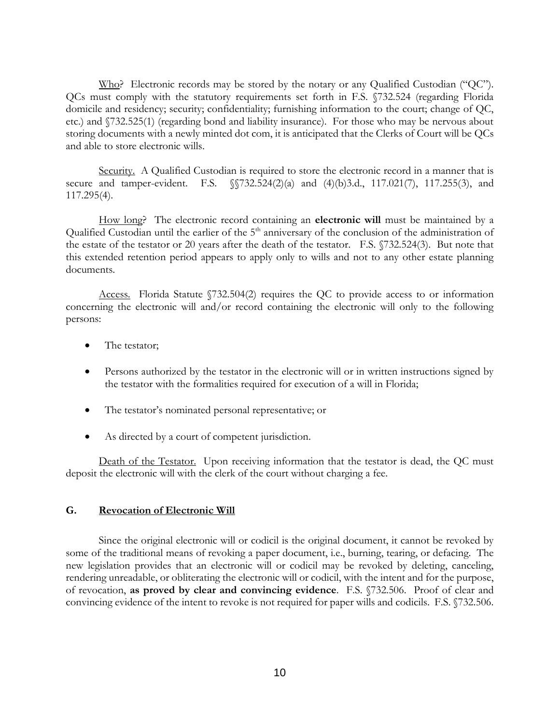Who? Electronic records may be stored by the notary or any Qualified Custodian ("QC"). QCs must comply with the statutory requirements set forth in F.S. §732.524 (regarding Florida domicile and residency; security; confidentiality; furnishing information to the court; change of QC, etc.) and §732.525(1) (regarding bond and liability insurance). For those who may be nervous about storing documents with a newly minted dot com, it is anticipated that the Clerks of Court will be QCs and able to store electronic wills.

Security. A Qualified Custodian is required to store the electronic record in a manner that is secure and tamper-evident. F.S.  $\sqrt{732.524(2)(a)}$  and  $(4)(b)3.d., 117.021(7), 117.255(3),$  and 117.295(4).

How long? The electronic record containing an **electronic will** must be maintained by a Qualified Custodian until the earlier of the 5<sup>th</sup> anniversary of the conclusion of the administration of the estate of the testator or 20 years after the death of the testator. F.S. §732.524(3). But note that this extended retention period appears to apply only to wills and not to any other estate planning documents.

Access. Florida Statute §732.504(2) requires the QC to provide access to or information concerning the electronic will and/or record containing the electronic will only to the following persons:

- The testator;
- Persons authorized by the testator in the electronic will or in written instructions signed by the testator with the formalities required for execution of a will in Florida;
- The testator's nominated personal representative; or
- As directed by a court of competent jurisdiction.

Death of the Testator. Upon receiving information that the testator is dead, the QC must deposit the electronic will with the clerk of the court without charging a fee.

### **G. Revocation of Electronic Will**

Since the original electronic will or codicil is the original document, it cannot be revoked by some of the traditional means of revoking a paper document, i.e., burning, tearing, or defacing. The new legislation provides that an electronic will or codicil may be revoked by deleting, canceling, rendering unreadable, or obliterating the electronic will or codicil, with the intent and for the purpose, of revocation, **as proved by clear and convincing evidence**. F.S. §732.506. Proof of clear and convincing evidence of the intent to revoke is not required for paper wills and codicils. F.S. §732.506.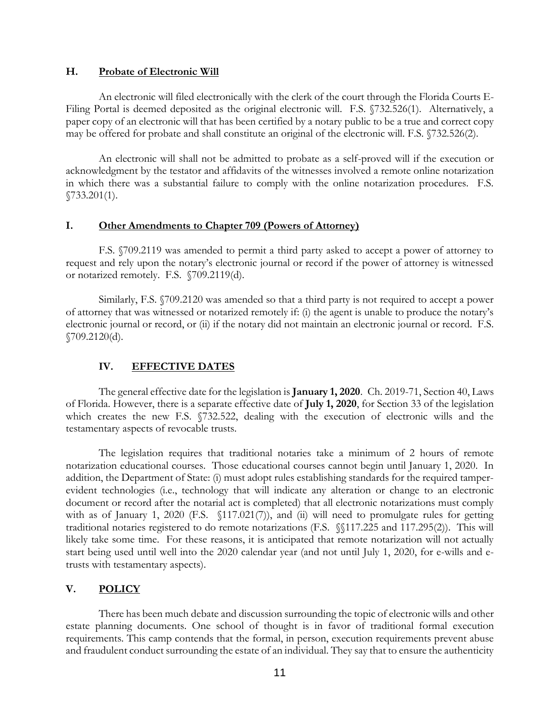#### **H. Probate of Electronic Will**

An electronic will filed electronically with the clerk of the court through the Florida Courts E-Filing Portal is deemed deposited as the original electronic will. F.S. §732.526(1). Alternatively, a paper copy of an electronic will that has been certified by a notary public to be a true and correct copy may be offered for probate and shall constitute an original of the electronic will. F.S. §732.526(2).

An electronic will shall not be admitted to probate as a self-proved will if the execution or acknowledgment by the testator and affidavits of the witnesses involved a remote online notarization in which there was a substantial failure to comply with the online notarization procedures. F.S. §733.201(1).

### **I. Other Amendments to Chapter 709 (Powers of Attorney)**

F.S. §709.2119 was amended to permit a third party asked to accept a power of attorney to request and rely upon the notary's electronic journal or record if the power of attorney is witnessed or notarized remotely. F.S. §709.2119(d).

Similarly, F.S. §709.2120 was amended so that a third party is not required to accept a power of attorney that was witnessed or notarized remotely if: (i) the agent is unable to produce the notary's electronic journal or record, or (ii) if the notary did not maintain an electronic journal or record. F.S. §709.2120(d).

#### **IV. EFFECTIVE DATES**

The general effective date for the legislation is **January 1, 2020**. Ch. 2019-71, Section 40, Laws of Florida. However, there is a separate effective date of **July 1, 2020**, for Section 33 of the legislation which creates the new F.S. §732.522, dealing with the execution of electronic wills and the testamentary aspects of revocable trusts.

The legislation requires that traditional notaries take a minimum of 2 hours of remote notarization educational courses. Those educational courses cannot begin until January 1, 2020. In addition, the Department of State: (i) must adopt rules establishing standards for the required tamperevident technologies (i.e., technology that will indicate any alteration or change to an electronic document or record after the notarial act is completed) that all electronic notarizations must comply with as of January 1, 2020 (F.S. §117.021(7)), and (ii) will need to promulgate rules for getting traditional notaries registered to do remote notarizations (F.S. §§117.225 and 117.295(2)). This will likely take some time. For these reasons, it is anticipated that remote notarization will not actually start being used until well into the 2020 calendar year (and not until July 1, 2020, for e-wills and etrusts with testamentary aspects).

### **V. POLICY**

There has been much debate and discussion surrounding the topic of electronic wills and other estate planning documents. One school of thought is in favor of traditional formal execution requirements. This camp contends that the formal, in person, execution requirements prevent abuse and fraudulent conduct surrounding the estate of an individual. They say that to ensure the authenticity